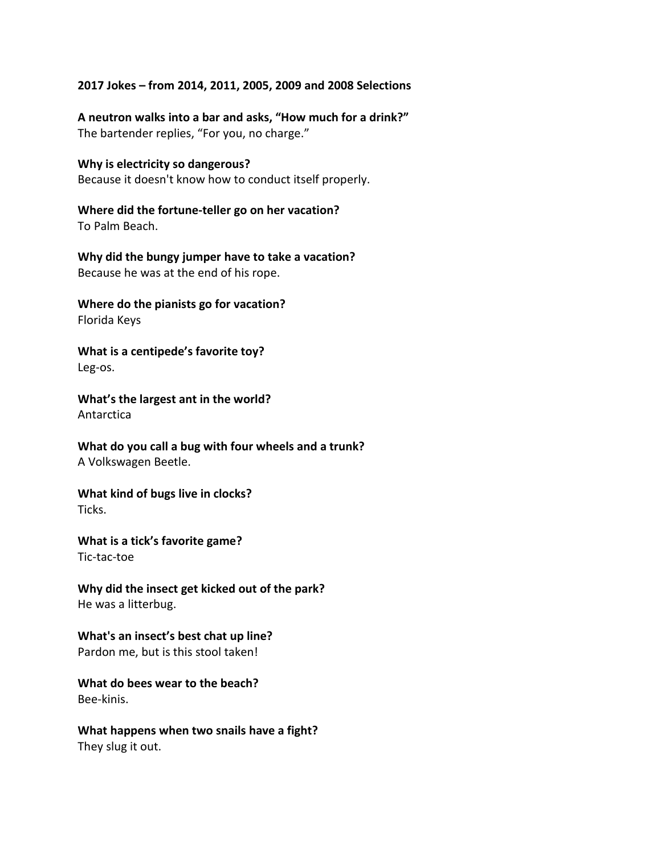## **2017 Jokes – from 2014, 2011, 2005, 2009 and 2008 Selections**

**A neutron walks into a bar and asks, "How much for a drink?"**  The bartender replies, "For you, no charge."

**Why is electricity so dangerous?**  Because it doesn't know how to conduct itself properly.

**Where did the fortune-teller go on her vacation?** To Palm Beach.

**Why did the bungy jumper have to take a vacation?** Because he was at the end of his rope.

**Where do the pianists go for vacation?** Florida Keys

**What is a centipede's favorite toy?** Leg-os.

**What's the largest ant in the world?** Antarctica

**What do you call a bug with four wheels and a trunk?** A Volkswagen Beetle.

**What kind of bugs live in clocks?** Ticks.

**What is a tick's favorite game?** Tic-tac-toe

**Why did the insect get kicked out of the park?** He was a litterbug.

**What's an insect's best chat up line?** Pardon me, but is this stool taken!

**What do bees wear to the beach?** Bee-kinis.

**What happens when two snails have a fight?** They slug it out.